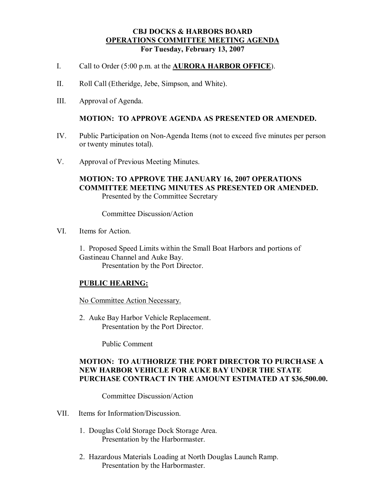### **CBJ DOCKS & HARBORS BOARD OPERATIONS COMMITTEE MEETING AGENDA For Tuesday, February 13, 2007**

- I. Call to Order (5:00 p.m. at the **AURORA HARBOR OFFICE**).
- II. Roll Call (Etheridge, Jebe, Simpson, and White).
- III. Approval of Agenda.

### **MOTION: TO APPROVE AGENDA AS PRESENTED OR AMENDED.**

- IV. Public Participation on Non-Agenda Items (not to exceed five minutes per person or twenty minutes total).
- V. Approval of Previous Meeting Minutes.

## **MOTION: TO APPROVE THE JANUARY 16,2007 OPERATIONS COMMITTEE MEETING MINUTES AS PRESENTED OR AMENDED.** Presented by the Committee Secretary

Committee Discussion/Action

VI. Items for Action.

1. Proposed Speed Limits within the Small Boat Harbors and portions of Gastineau Channel and Auke Bay.

Presentation by the Port Director.

### **PUBLIC HEARING:**

No Committee Action Necessary.

2. Auke Bay Harbor Vehicle Replacement. Presentation by the Port Director.

Public Comment

# **MOTION: TO AUTHORIZE THE PORT DIRECTOR TO PURCHASE A NEW HARBOR VEHICLE FOR AUKE BAY UNDER THE STATE PURCHASE CONTRACT IN THE AMOUNT ESTIMATED AT \$36,500.00.**

Committee Discussion/Action

- VII. Items for Information/Discussion.
	- 1. Douglas Cold Storage Dock Storage Area. Presentation by the Harbormaster.
	- 2. Hazardous Materials Loading at North Douglas Launch Ramp. Presentation by the Harbormaster.